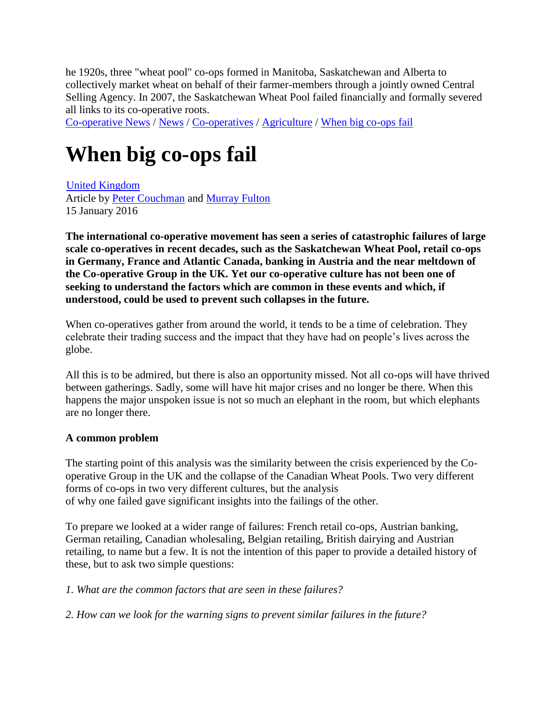he 1920s, three "wheat pool" co-ops formed in Manitoba, Saskatchewan and Alberta to collectively market wheat on behalf of their farmer-members through a jointly owned Central Selling Agency. In 2007, the Saskatchewan Wheat Pool failed financially and formally severed all links to its co-operative roots.

[Co-operative News](http://www.thenews.coop/) / [News](http://www.thenews.coop/all-news/) / [Co-operatives](http://www.thenews.coop/topic/co-operatives/) / [Agriculture](http://www.thenews.coop/topic/co-operatives/agriculture/) / [When big co-ops fail](http://www.thenews.coop/101263/news/agriculture/big-co-ops-fail/)

# **When big co-ops fail**

[United Kingdom](http://www.thenews.coop/country/united-kingdom) Article by [Peter Couchman](http://www.thenews.coop/author/cap-peter-couchman/) and [Murray Fulton](http://www.thenews.coop/author/murray-fulton/) 15 January 2016

**The international co-operative movement has seen a series of catastrophic failures of large scale co-operatives in recent decades, such as the Saskatchewan Wheat Pool, retail co-ops in Germany, France and Atlantic Canada, banking in Austria and the near meltdown of the Co-operative Group in the UK. Yet our co-operative culture has not been one of seeking to understand the factors which are common in these events and which, if understood, could be used to prevent such collapses in the future.**

When co-operatives gather from around the world, it tends to be a time of celebration. They celebrate their trading success and the impact that they have had on people's lives across the globe.

All this is to be admired, but there is also an opportunity missed. Not all co-ops will have thrived between gatherings. Sadly, some will have hit major crises and no longer be there. When this happens the major unspoken issue is not so much an elephant in the room, but which elephants are no longer there.

## **A common problem**

The starting point of this analysis was the similarity between the crisis experienced by the Cooperative Group in the UK and the collapse of the Canadian Wheat Pools. Two very different forms of co-ops in two very different cultures, but the analysis of why one failed gave significant insights into the failings of the other.

To prepare we looked at a wider range of failures: French retail co-ops, Austrian banking, German retailing, Canadian wholesaling, Belgian retailing, British dairying and Austrian retailing, to name but a few. It is not the intention of this paper to provide a detailed history of these, but to ask two simple questions:

## *1. What are the common factors that are seen in these failures?*

*2. How can we look for the warning signs to prevent similar failures in the future?*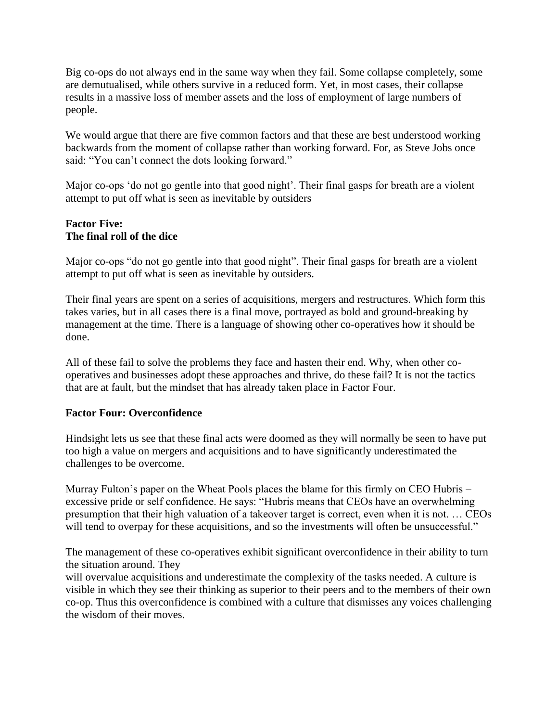Big co-ops do not always end in the same way when they fail. Some collapse completely, some are demutualised, while others survive in a reduced form. Yet, in most cases, their collapse results in a massive loss of member assets and the loss of employment of large numbers of people.

We would argue that there are five common factors and that these are best understood working backwards from the moment of collapse rather than working forward. For, as Steve Jobs once said: "You can't connect the dots looking forward."

Major co-ops 'do not go gentle into that good night'. Their final gasps for breath are a violent attempt to put off what is seen as inevitable by outsiders

#### **Factor Five: The final roll of the dice**

Major co-ops "do not go gentle into that good night". Their final gasps for breath are a violent attempt to put off what is seen as inevitable by outsiders.

Their final years are spent on a series of acquisitions, mergers and restructures. Which form this takes varies, but in all cases there is a final move, portrayed as bold and ground-breaking by management at the time. There is a language of showing other co-operatives how it should be done.

All of these fail to solve the problems they face and hasten their end. Why, when other cooperatives and businesses adopt these approaches and thrive, do these fail? It is not the tactics that are at fault, but the mindset that has already taken place in Factor Four.

## **Factor Four: Overconfidence**

Hindsight lets us see that these final acts were doomed as they will normally be seen to have put too high a value on mergers and acquisitions and to have significantly underestimated the challenges to be overcome.

Murray Fulton's paper on the Wheat Pools places the blame for this firmly on CEO Hubris – excessive pride or self confidence. He says: "Hubris means that CEOs have an overwhelming presumption that their high valuation of a takeover target is correct, even when it is not. … CEOs will tend to overpay for these acquisitions, and so the investments will often be unsuccessful."

The management of these co-operatives exhibit significant overconfidence in their ability to turn the situation around. They

will overvalue acquisitions and underestimate the complexity of the tasks needed. A culture is visible in which they see their thinking as superior to their peers and to the members of their own co-op. Thus this overconfidence is combined with a culture that dismisses any voices challenging the wisdom of their moves.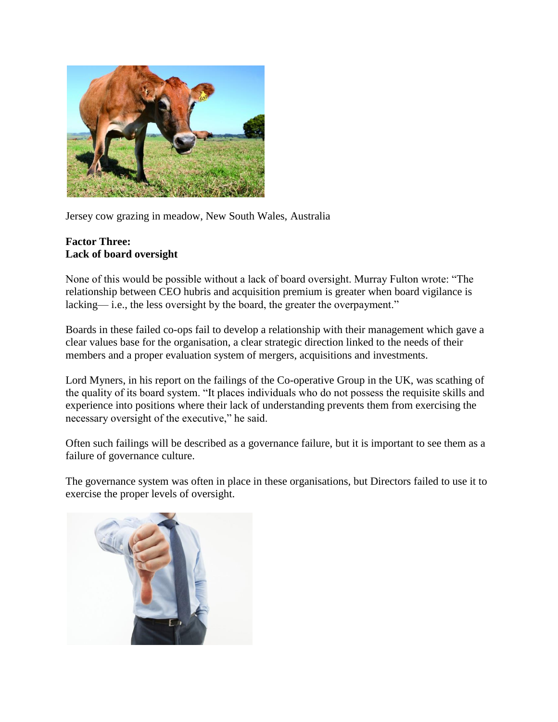

Jersey cow grazing in meadow, New South Wales, Australia

#### **Factor Three: Lack of board oversight**

None of this would be possible without a lack of board oversight. Murray Fulton wrote: "The relationship between CEO hubris and acquisition premium is greater when board vigilance is lacking— i.e., the less oversight by the board, the greater the overpayment."

Boards in these failed co-ops fail to develop a relationship with their management which gave a clear values base for the organisation, a clear strategic direction linked to the needs of their members and a proper evaluation system of mergers, acquisitions and investments.

Lord Myners, in his report on the failings of the Co-operative Group in the UK, was scathing of the quality of its board system. "It places individuals who do not possess the requisite skills and experience into positions where their lack of understanding prevents them from exercising the necessary oversight of the executive," he said.

Often such failings will be described as a governance failure, but it is important to see them as a failure of governance culture.

The governance system was often in place in these organisations, but Directors failed to use it to exercise the proper levels of oversight.

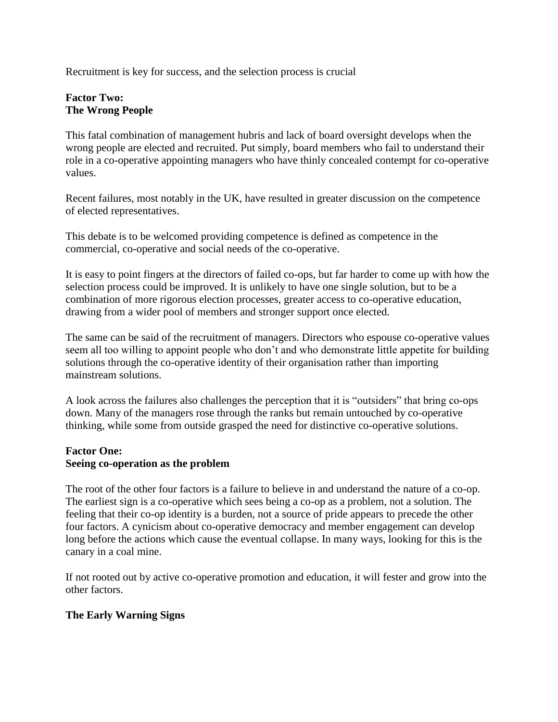Recruitment is key for success, and the selection process is crucial

## **Factor Two: The Wrong People**

This fatal combination of management hubris and lack of board oversight develops when the wrong people are elected and recruited. Put simply, board members who fail to understand their role in a co-operative appointing managers who have thinly concealed contempt for co-operative values.

Recent failures, most notably in the UK, have resulted in greater discussion on the competence of elected representatives.

This debate is to be welcomed providing competence is defined as competence in the commercial, co-operative and social needs of the co-operative.

It is easy to point fingers at the directors of failed co-ops, but far harder to come up with how the selection process could be improved. It is unlikely to have one single solution, but to be a combination of more rigorous election processes, greater access to co-operative education, drawing from a wider pool of members and stronger support once elected.

The same can be said of the recruitment of managers. Directors who espouse co-operative values seem all too willing to appoint people who don't and who demonstrate little appetite for building solutions through the co-operative identity of their organisation rather than importing mainstream solutions.

A look across the failures also challenges the perception that it is "outsiders" that bring co-ops down. Many of the managers rose through the ranks but remain untouched by co-operative thinking, while some from outside grasped the need for distinctive co-operative solutions.

## **Factor One:**

## **Seeing co-operation as the problem**

The root of the other four factors is a failure to believe in and understand the nature of a co-op. The earliest sign is a co-operative which sees being a co-op as a problem, not a solution. The feeling that their co-op identity is a burden, not a source of pride appears to precede the other four factors. A cynicism about co-operative democracy and member engagement can develop long before the actions which cause the eventual collapse. In many ways, looking for this is the canary in a coal mine.

If not rooted out by active co-operative promotion and education, it will fester and grow into the other factors.

## **The Early Warning Signs**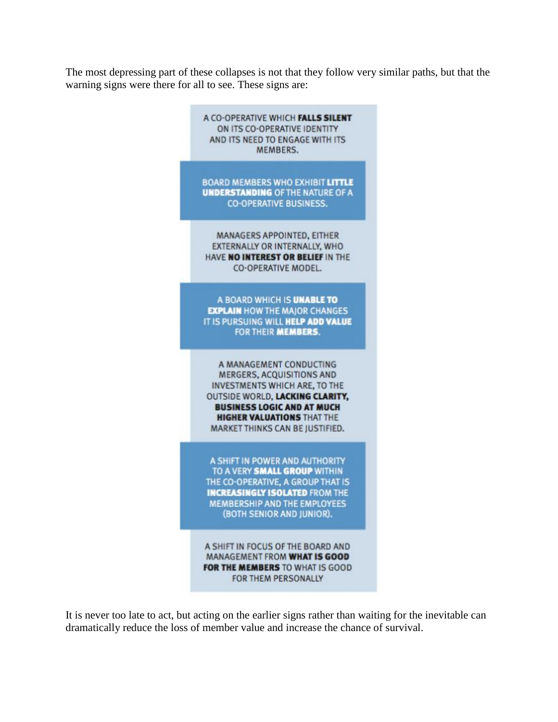The most depressing part of these collapses is not that they follow very similar paths, but that the warning signs were there for all to see. These signs are:



It is never too late to act, but acting on the earlier signs rather than waiting for the inevitable can dramatically reduce the loss of member value and increase the chance of survival.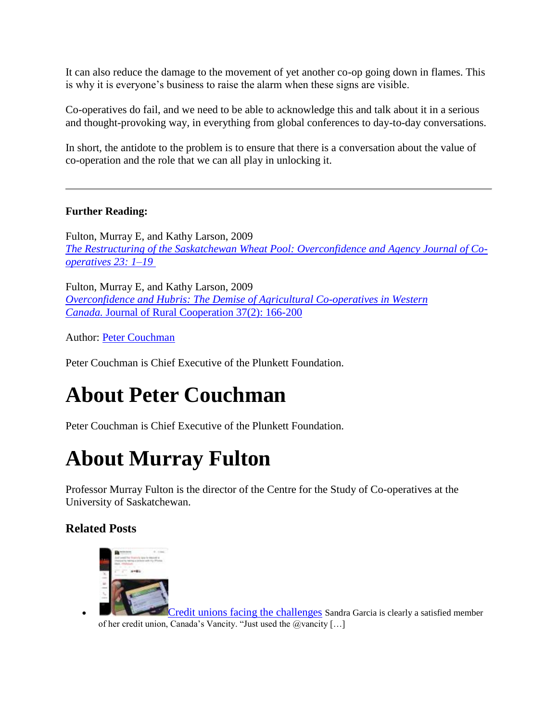It can also reduce the damage to the movement of yet another co-op going down in flames. This is why it is everyone's business to raise the alarm when these signs are visible.

Co-operatives do fail, and we need to be able to acknowledge this and talk about it in a serious and thought-provoking way, in everything from global conferences to day-to-day conversations.

In short, the antidote to the problem is to ensure that there is a conversation about the value of co-operation and the role that we can all play in unlocking it.

## **Further Reading:**

Fulton, Murray E, and Kathy Larson, 2009 *[The Restructuring of the Saskatchewan Wheat Pool: Overconfidence and Agency Journal of Co](http://accc.k-state.edu/ncera210/jocpdfs/v23/FultonLangSWP.pdf)[operatives 23: 1–19](http://accc.k-state.edu/ncera210/jocpdfs/v23/FultonLangSWP.pdf)*

Fulton, Murray E, and Kathy Larson, 2009 *[Overconfidence and Hubris: The Demise of Agricultural Co-operatives in Western](http://ageconsearch.umn.edu/handle/163812)  Canada.* [Journal of Rural Cooperation 37\(2\): 166-200](http://ageconsearch.umn.edu/handle/163812)

Author: [Peter Couchman](http://www.thenews.coop/author/cap-peter-couchman)

Peter Couchman is Chief Executive of the Plunkett Foundation.

# **About Peter Couchman**

Peter Couchman is Chief Executive of the Plunkett Foundation.

## **About Murray Fulton**

Professor Murray Fulton is the director of the Centre for the Study of Co-operatives at the University of Saskatchewan.

## **Related Posts**



**[Credit unions facing the challenges](http://www.thenews.coop/96154/news/credit-unions/credit-unions-facing-challenges/) Sandra Garcia is clearly a satisfied member** of her credit union, Canada's Vancity. "Just used the  $@$ vancity  $[...]$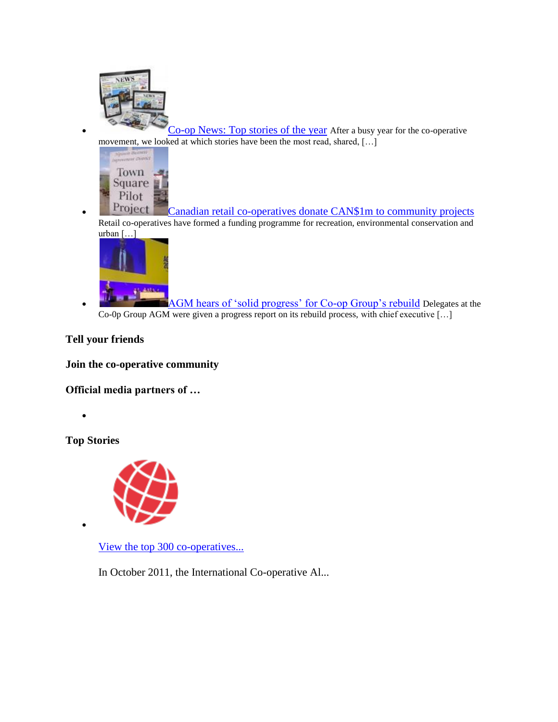

**[Co-op News: Top stories of the year](http://www.thenews.coop/100788/news/co-operatives/co-op-news-top-stories-year/) After a busy year for the co-operative** movement, we looked at which stories have been the most read, shared, […]



**Project** [C](http://www.thenews.coop/98279/news/co-operatives/canadian-retail-co-operatives-donate-cad-1m-community-projects/)anadian retail [co-operatives donate CAN\\$1m to community projects](http://www.thenews.coop/98279/news/co-operatives/canadian-retail-co-operatives-donate-cad-1m-community-projects/) Retail co-operatives have formed a funding programme for recreation, environmental conservation and urban […]



 [AGM hears of 'solid progress' for Co-op Group's rebuild](http://www.thenews.coop/105793/news/co-operatives/co-op-shopped-food-business-britain/) Delegates at the Co-0p Group AGM were given a progress report on its rebuild process, with chief executive […]

**Tell your friends**

**Join the co-operative community**

**Official media partners of …**

 $\bullet$ 

 $\bullet$ 

**Top Stories**



[View the top 300 co-operatives...](http://www.thenews.coop/49090/news/general/view-top-300-co-operatives-around-world/)

In October 2011, the International Co-operative Al...